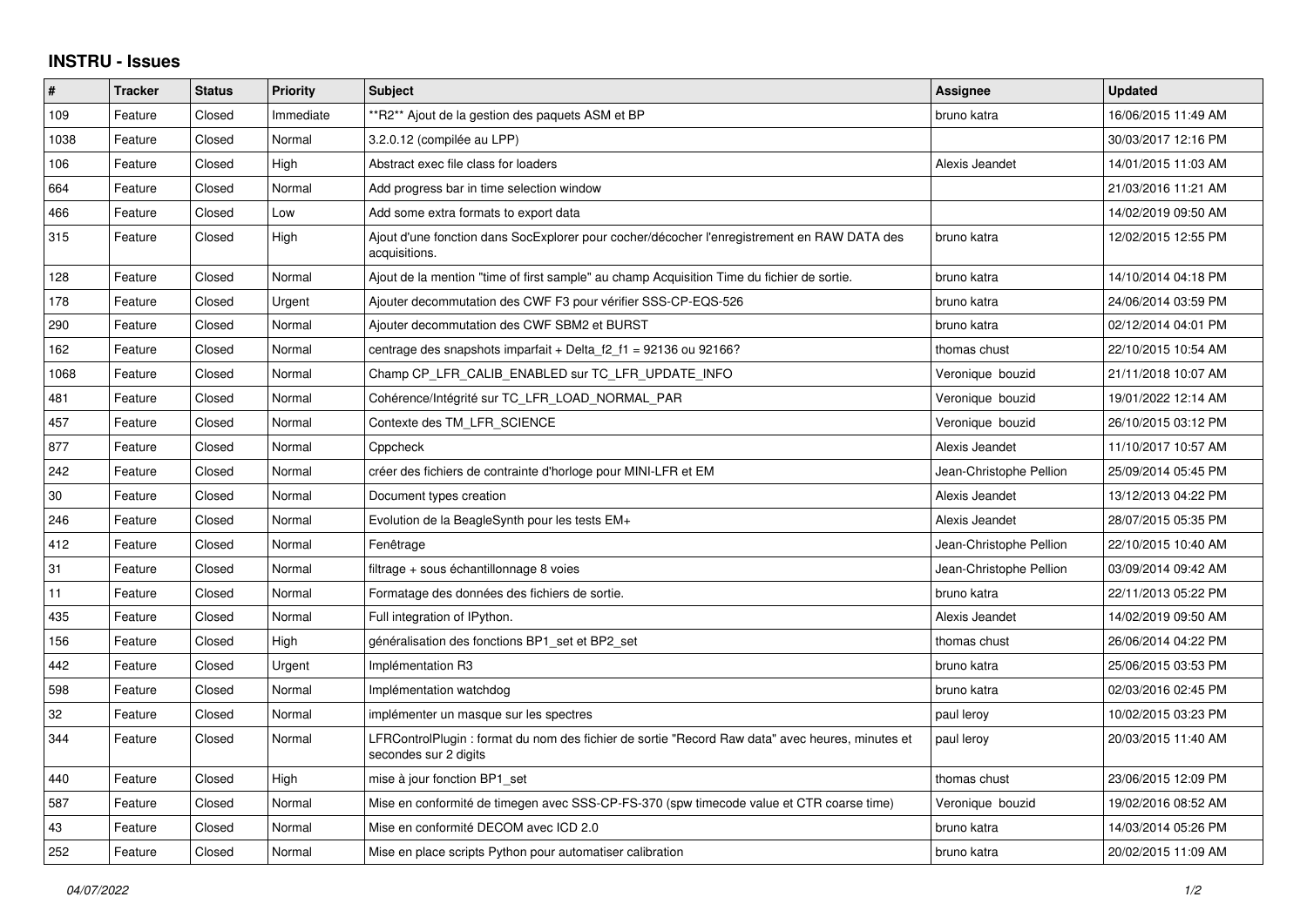## **INSTRU - Issues**

| #      | <b>Tracker</b> | <b>Status</b> | <b>Priority</b> | <b>Subject</b>                                                                                                            | Assignee                | <b>Updated</b>      |
|--------|----------------|---------------|-----------------|---------------------------------------------------------------------------------------------------------------------------|-------------------------|---------------------|
| 109    | Feature        | Closed        | Immediate       | *R2** Ajout de la gestion des paquets ASM et BP                                                                           | bruno katra             | 16/06/2015 11:49 AM |
| 1038   | Feature        | Closed        | Normal          | 3.2.0.12 (compilée au LPP)                                                                                                |                         | 30/03/2017 12:16 PM |
| 106    | Feature        | Closed        | High            | Abstract exec file class for loaders                                                                                      | Alexis Jeandet          | 14/01/2015 11:03 AM |
| 664    | Feature        | Closed        | Normal          | Add progress bar in time selection window                                                                                 |                         | 21/03/2016 11:21 AM |
| 466    | Feature        | Closed        | Low             | Add some extra formats to export data                                                                                     |                         | 14/02/2019 09:50 AM |
| 315    | Feature        | Closed        | High            | Ajout d'une fonction dans SocExplorer pour cocher/décocher l'enregistrement en RAW DATA des<br>acquisitions.              | bruno katra             | 12/02/2015 12:55 PM |
| 128    | Feature        | Closed        | Normal          | Ajout de la mention "time of first sample" au champ Acquisition Time du fichier de sortie.                                | bruno katra             | 14/10/2014 04:18 PM |
| 178    | Feature        | Closed        | Urgent          | Ajouter decommutation des CWF F3 pour vérifier SSS-CP-EQS-526                                                             | bruno katra             | 24/06/2014 03:59 PM |
| 290    | Feature        | Closed        | Normal          | Ajouter decommutation des CWF SBM2 et BURST                                                                               | bruno katra             | 02/12/2014 04:01 PM |
| 162    | Feature        | Closed        | Normal          | centrage des snapshots imparfait + Delta $f2_f1 = 92136$ ou 92166?                                                        | thomas chust            | 22/10/2015 10:54 AM |
| 1068   | Feature        | Closed        | Normal          | Champ CP_LFR_CALIB_ENABLED sur TC_LFR_UPDATE_INFO                                                                         | Veronique bouzid        | 21/11/2018 10:07 AM |
| 481    | Feature        | Closed        | Normal          | Cohérence/Intégrité sur TC_LFR_LOAD_NORMAL_PAR                                                                            | Veronique bouzid        | 19/01/2022 12:14 AM |
| 457    | Feature        | Closed        | Normal          | Contexte des TM_LFR_SCIENCE                                                                                               | Veronique bouzid        | 26/10/2015 03:12 PM |
| 877    | Feature        | Closed        | Normal          | Cppcheck                                                                                                                  | Alexis Jeandet          | 11/10/2017 10:57 AM |
| 242    | Feature        | Closed        | Normal          | créer des fichiers de contrainte d'horloge pour MINI-LFR et EM                                                            | Jean-Christophe Pellion | 25/09/2014 05:45 PM |
| $30\,$ | Feature        | Closed        | Normal          | Document types creation                                                                                                   | Alexis Jeandet          | 13/12/2013 04:22 PM |
| 246    | Feature        | Closed        | Normal          | Evolution de la BeagleSynth pour les tests EM+                                                                            | Alexis Jeandet          | 28/07/2015 05:35 PM |
| 412    | Feature        | Closed        | Normal          | Fenêtrage                                                                                                                 | Jean-Christophe Pellion | 22/10/2015 10:40 AM |
| 31     | Feature        | Closed        | Normal          | filtrage + sous échantillonnage 8 voies                                                                                   | Jean-Christophe Pellion | 03/09/2014 09:42 AM |
| 11     | Feature        | Closed        | Normal          | Formatage des données des fichiers de sortie.                                                                             | bruno katra             | 22/11/2013 05:22 PM |
| 435    | Feature        | Closed        | Normal          | Full integration of IPython.                                                                                              | Alexis Jeandet          | 14/02/2019 09:50 AM |
| 156    | Feature        | Closed        | High            | généralisation des fonctions BP1_set et BP2_set                                                                           | thomas chust            | 26/06/2014 04:22 PM |
| 442    | Feature        | Closed        | Urgent          | Implémentation R3                                                                                                         | bruno katra             | 25/06/2015 03:53 PM |
| 598    | Feature        | Closed        | Normal          | Implémentation watchdog                                                                                                   | bruno katra             | 02/03/2016 02:45 PM |
| 32     | Feature        | Closed        | Normal          | implémenter un masque sur les spectres                                                                                    | paul leroy              | 10/02/2015 03:23 PM |
| 344    | Feature        | Closed        | Normal          | LFRControlPlugin : format du nom des fichier de sortie "Record Raw data" avec heures, minutes et<br>secondes sur 2 digits | paul leroy              | 20/03/2015 11:40 AM |
| 440    | Feature        | Closed        | High            | mise à jour fonction BP1 set                                                                                              | thomas chust            | 23/06/2015 12:09 PM |
| 587    | Feature        | Closed        | Normal          | Mise en conformité de timegen avec SSS-CP-FS-370 (spw timecode value et CTR coarse time)                                  | Veronique bouzid        | 19/02/2016 08:52 AM |
| 43     | Feature        | Closed        | Normal          | Mise en conformité DECOM avec ICD 2.0                                                                                     | bruno katra             | 14/03/2014 05:26 PM |
| 252    | Feature        | Closed        | Normal          | Mise en place scripts Python pour automatiser calibration                                                                 | bruno katra             | 20/02/2015 11:09 AM |